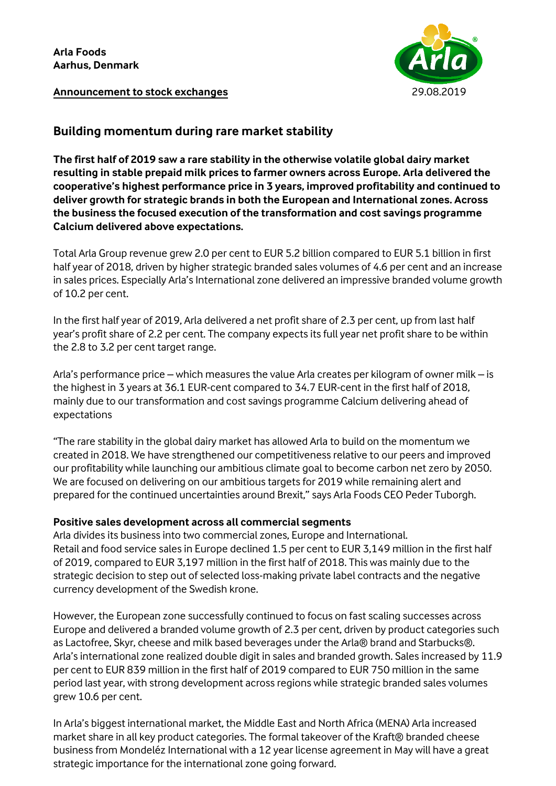

**Announcement to stock exchanges** 29.08.2019

### **Building momentum during rare market stability**

**The first half of 2019 saw a rare stability in the otherwise volatile global dairy market resulting in stable prepaid milk prices to farmer owners across Europe. Arla delivered the cooperative's highest performance price in 3 years, improved profitability and continued to deliver growth for strategic brands in both the European and International zones. Across the business the focused execution of the transformation and cost savings programme Calcium delivered above expectations.** 

Total Arla Group revenue grew 2.0 per cent to EUR 5.2 billion compared to EUR 5.1 billion in first half year of 2018, driven by higher strategic branded sales volumes of 4.6 per cent and an increase in sales prices. Especially Arla's International zone delivered an impressive branded volume growth of 10.2 per cent.

In the first half year of 2019, Arla delivered a net profit share of 2.3 per cent, up from last half year's profit share of 2.2 per cent. The company expects its full year net profit share to be within the 2.8 to 3.2 per cent target range.

Arla's performance price – which measures the value Arla creates per kilogram of owner milk – is the highest in 3 years at 36.1 EUR-cent compared to 34.7 EUR-cent in the first half of 2018, mainly due to our transformation and cost savings programme Calcium delivering ahead of expectations

"The rare stability in the global dairy market has allowed Arla to build on the momentum we created in 2018. We have strengthened our competitiveness relative to our peers and improved our profitability while launching our ambitious climate goal to become carbon net zero by 2050. We are focused on delivering on our ambitious targets for 2019 while remaining alert and prepared for the continued uncertainties around Brexit," says Arla Foods CEO Peder Tuborgh.

#### **Positive sales development across all commercial segments**

Arla divides its business into two commercial zones, Europe and International. Retail and food service sales in Europe declined 1.5 per cent to EUR 3,149 million in the first half of 2019, compared to EUR 3,197 million in the first half of 2018. This was mainly due to the strategic decision to step out of selected loss-making private label contracts and the negative currency development of the Swedish krone.

However, the European zone successfully continued to focus on fast scaling successes across Europe and delivered a branded volume growth of 2.3 per cent, driven by product categories such as Lactofree, Skyr, cheese and milk based beverages under the Arla® brand and Starbucks®. Arla's international zone realized double digit in sales and branded growth. Sales increased by 11.9 per cent to EUR 839 million in the first half of 2019 compared to EUR 750 million in the same period last year, with strong development across regions while strategic branded sales volumes grew 10.6 per cent.

In Arla's biggest international market, the Middle East and North Africa (MENA) Arla increased market share in all key product categories. The formal takeover of the Kraft® branded cheese business from Mondeléz International with a 12 year license agreement in May will have a great strategic importance for the international zone going forward.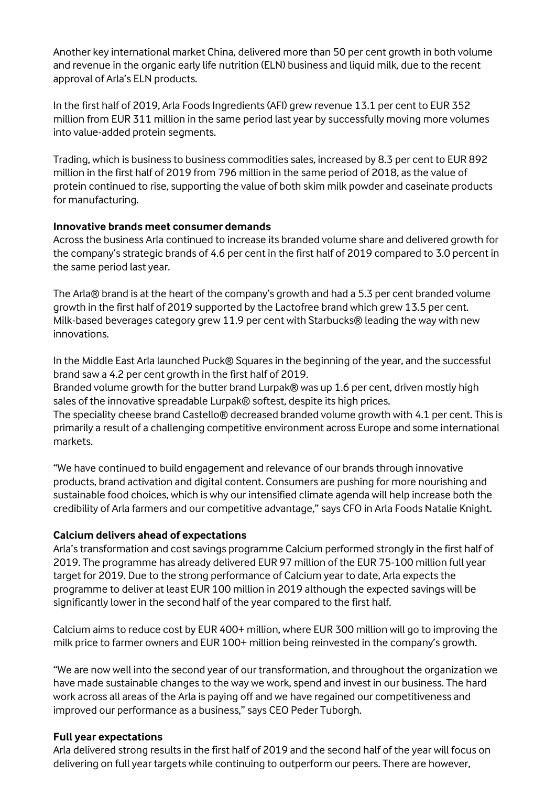Another key international market China, delivered more than 50 per cent growth in both volume and revenue in the organic early life nutrition (ELN) business and liquid milk, due to the recent approval of Arla's ELN products.

In the first half of 2019, Arla Foods Ingredients (AFI) grew revenue 13.1 per cent to EUR 352 million from EUR 311 million in the same period last year by successfully moving more volumes into value-added protein segments.

Trading, which is business to business commodities sales, increased by 8.3 per cent to EUR 892 million in the first half of 2019 from 796 million in the same period of 2018, as the value of protein continued to rise, supporting the value of both skim milk powder and caseinate products for manufacturing.

#### **Innovative brands meet consumer demands**

Across the business Arla continued to increase its branded volume share and delivered growth for the company's strategic brands of 4.6 per cent in the first half of 2019 compared to 3.0 percent in the same period last year.

The Arla® brand is at the heart of the company's growth and had a 5.3 per cent branded volume growth in the first half of 2019 supported by the Lactofree brand which grew 13.5 per cent. Milk-based beverages category grew 11.9 per cent with Starbucks® leading the way with new innovations.

In the Middle East Arla launched Puck® Squares in the beginning of the year, and the successful brand saw a 4.2 per cent growth in the first half of 2019.

Branded volume growth for the butter brand Lurpak® was up 1.6 per cent, driven mostly high sales of the innovative spreadable Lurpak® softest, despite its high prices.

The speciality cheese brand Castello® decreased branded volume growth with 4.1 per cent. This is primarily a result of a challenging competitive environment across Europe and some international markets.

"We have continued to build engagement and relevance of our brands through innovative products, brand activation and digital content. Consumers are pushing for more nourishing and sustainable food choices, which is why our intensified climate agenda will help increase both the credibility of Arla farmers and our competitive advantage," says CFO in Arla Foods Natalie Knight.

### **Calcium delivers ahead of expectations**

Arla's transformation and cost savings programme Calcium performed strongly in the first half of 2019. The programme has already delivered EUR 97 million of the EUR 75-100 million full year target for 2019. Due to the strong performance of Calcium year to date, Arla expects the programme to deliver at least EUR 100 million in 2019 although the expected savings will be significantly lower in the second half of the year compared to the first half.

Calcium aims to reduce cost by EUR 400+ million, where EUR 300 million will go to improving the milk price to farmer owners and EUR 100+ million being reinvested in the company's growth.

"We are now well into the second year of our transformation, and throughout the organization we have made sustainable changes to the way we work, spend and invest in our business. The hard work across all areas of the Arla is paying off and we have regained our competitiveness and improved our performance as a business," says CEO Peder Tuborgh.

#### **Full year expectations**

Arla delivered strong results in the first half of 2019 and the second half of the year will focus on delivering on full year targets while continuing to outperform our peers. There are however,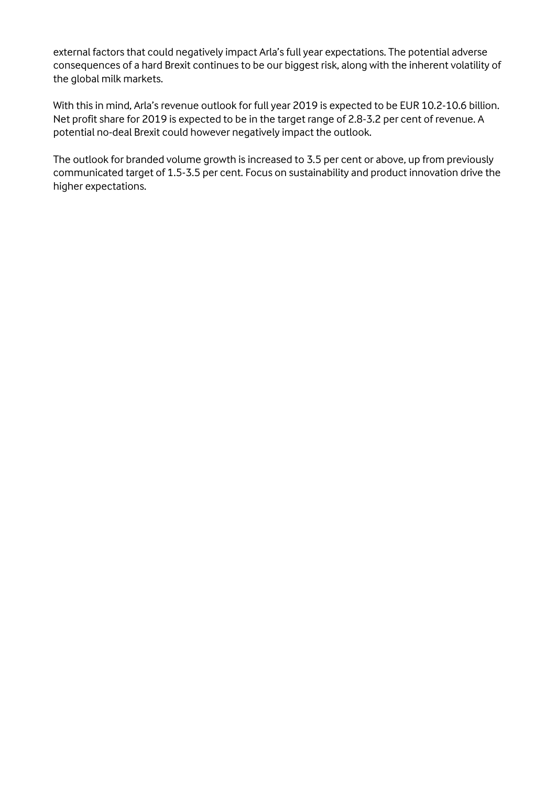external factors that could negatively impact Arla's full year expectations. The potential adverse consequences of a hard Brexit continues to be our biggest risk, along with the inherent volatility of the global milk markets.

With this in mind, Arla's revenue outlook for full year 2019 is expected to be EUR 10.2-10.6 billion. Net profit share for 2019 is expected to be in the target range of 2.8-3.2 per cent of revenue. A potential no-deal Brexit could however negatively impact the outlook.

The outlook for branded volume growth is increased to 3.5 per cent or above, up from previously communicated target of 1.5-3.5 per cent. Focus on sustainability and product innovation drive the higher expectations.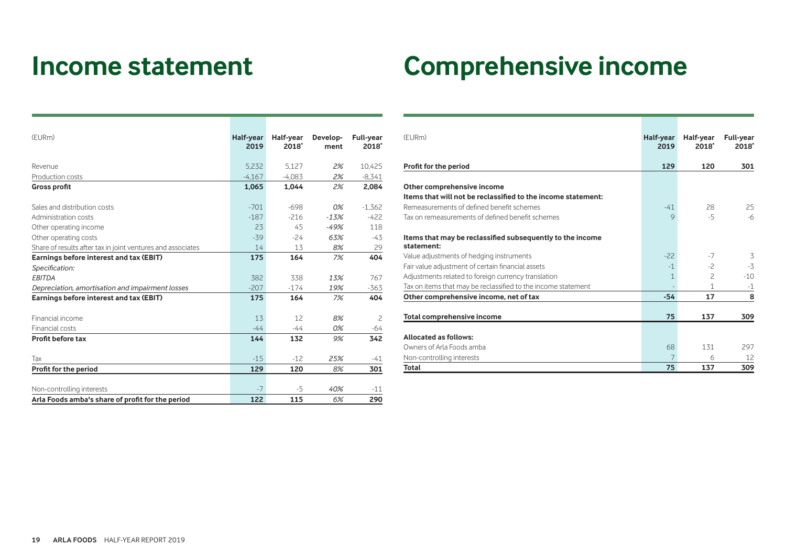# **Income statement Comprehensive income**

| (EURm)                                                      | Half-year<br>2019 | Half-year<br>2018* | Develop-<br>ment | <b>Full-year</b><br>2018* |
|-------------------------------------------------------------|-------------------|--------------------|------------------|---------------------------|
| Revenue                                                     | 5,232             | 5.127              | 2%               | 10,425                    |
| Production costs                                            | $-4.167$          | $-4.083$           | 2%               | $-8,341$                  |
| <b>Gross profit</b>                                         | 1.065             | 1.044              | 2%               | 2.084                     |
| Sales and distribution costs                                | $-701$            | $-698$             | $0\%$            | $-1,362$                  |
| Administration costs                                        | $-187$            | $-216$             | $-13%$           | $-422$                    |
| Other operating income                                      | 23                | 45                 | $-49%$           | 118                       |
| Other operating costs                                       | $-39$             | $-24$              | 63%              | -43                       |
| Share of results after tax in joint ventures and associates | 14                | 13                 | 8%               | 29                        |
| Earnings before interest and tax (EBIT)                     | 175               | 164                | 7%               | 404                       |
| Specification:                                              |                   |                    |                  |                           |
| <b>EBITDA</b>                                               | 382               | 338                | 13%              | 767                       |
| Depreciation, amortisation and impairment losses            | $-207$            | $-174$             | 19%              | $-363$                    |
| Earnings before interest and tax (EBIT)                     | 175               | 164                | 7%               | 404                       |
| Financial income                                            | 13                | 12                 | 8%               | 2                         |
| Financial costs                                             | $-44$             | $-44$              | 0%               | $-64$                     |
| Profit before tax                                           | 144               | 132                | 9%               | 342                       |
| Tax                                                         | $-15$             | $-12$              | 25%              | -41                       |
| Profit for the period                                       | 129               | 120                | 8%               | 301                       |
|                                                             |                   |                    |                  |                           |
| Non-controlling interests                                   | $-7$              | -5                 | 40%              | $-11$                     |
| Arla Foods amba's share of profit for the period            | 122               | 115                | 6%               | 290                       |

| (FURm)                                                                  | Half-year<br>2019 | Half-year<br>2018* | <b>Full-year</b><br>2018* |
|-------------------------------------------------------------------------|-------------------|--------------------|---------------------------|
| Profit for the period                                                   | 129               | 120                | 301                       |
| Other comprehensive income                                              |                   |                    |                           |
| Items that will not be reclassified to the income statement:            |                   |                    |                           |
| Remeasurements of defined benefit schemes                               | $-41$             | 28                 | 25                        |
| Tax on remeasurements of defined benefit schemes                        | $\mathsf{Q}$      | $-5$               | $-6$                      |
| Items that may be reclassified subsequently to the income<br>statement: |                   |                    |                           |
| Value adjustments of hedging instruments                                | $-22$             | $-7$               | 3                         |
| Fair value adjustment of certain financial assets                       | $-1$              | $-2$               | $-3$                      |
| Adjustments related to foreign currency translation                     | $\mathbf{1}$      | $\overline{c}$     | $-10$                     |
| Tax on items that may be reclassified to the income statement           |                   | 1                  | $-1$                      |
| Other comprehensive income, net of tax                                  | $-54$             | 17                 | 8                         |
|                                                                         |                   |                    |                           |
| Total comprehensive income                                              | 75                | 137                | 309                       |
| <b>Allocated as follows:</b>                                            |                   |                    |                           |
| Owners of Arla Foods amba                                               | 68                | 131                | 297                       |
| Non-controlling interests                                               |                   | 6                  | 12                        |
| Total                                                                   | 75                | 137                | 309                       |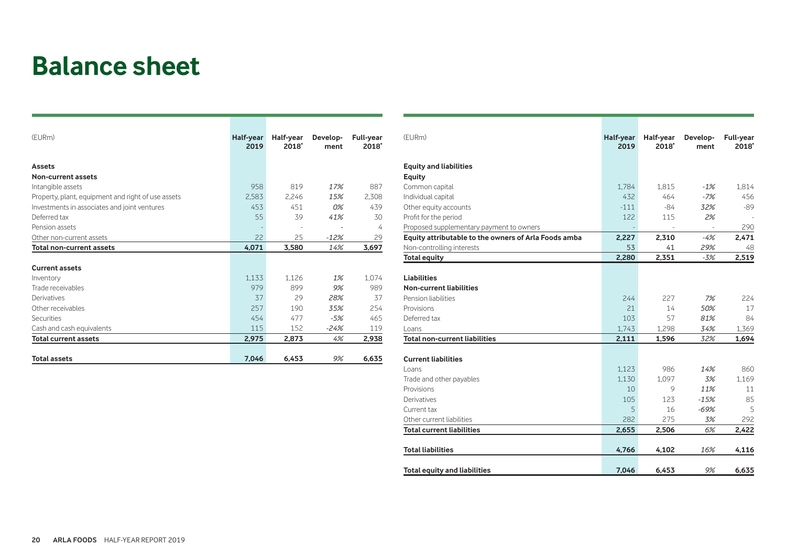### **Balance sheet**

| (EURm)                                             | Half-year<br>2019 | Half-year<br>2018* | Develop-<br>ment | <b>Full-year</b><br>2018* |
|----------------------------------------------------|-------------------|--------------------|------------------|---------------------------|
| <b>Assets</b>                                      |                   |                    |                  |                           |
| <b>Non-current assets</b>                          |                   |                    |                  |                           |
| Intangible assets                                  | 958               | 819                | 17%              | 887                       |
| Property, plant, equipment and right of use assets | 2,583             | 2,246              | 15%              | 2,308                     |
| Investments in associates and joint ventures       | 453               | 451                | $0\%$            | 439                       |
| Deferred tax                                       | 55                | 39                 | 41%              | 30                        |
| Pension assets                                     |                   |                    |                  | 4                         |
| Other non-current assets                           | 22                | 25                 | $-12%$           | 29                        |
| <b>Total non-current assets</b>                    | 4,071             | 3,580              | 14%              | 3,697                     |
|                                                    |                   |                    |                  |                           |
| <b>Current assets</b>                              |                   |                    |                  |                           |
| Inventory                                          | 1.133             | 1,126              | 1%               | 1,074                     |
| Trade receivables                                  | 979               | 899                | 9%               | 989                       |
| Derivatives                                        | 37                | 29                 | 28%              | 37                        |
| Other receivables                                  | 257               | 190                | 35%              | 254                       |
| Securities                                         | 454               | 477                | $-5%$            | 465                       |
| Cash and cash equivalents                          | 115               | 152                | $-24%$           | 119                       |
| <b>Total current assets</b>                        | 2,975             | 2,873              | 4%               | 2,938                     |
|                                                    |                   |                    |                  |                           |
| <b>Total assets</b>                                | 7,046             | 6,453              | 9%               | 6,635                     |

| 1.784<br>432<br>$-111$ | 1.815<br>464                                                     | $-1%$                                                   |                                                  |
|------------------------|------------------------------------------------------------------|---------------------------------------------------------|--------------------------------------------------|
|                        |                                                                  |                                                         |                                                  |
|                        |                                                                  |                                                         |                                                  |
|                        |                                                                  |                                                         | 1.814                                            |
|                        |                                                                  | $-7%$                                                   | 456                                              |
|                        | $-84$                                                            | 32%                                                     | $-89$                                            |
|                        | 115                                                              | 2%                                                      |                                                  |
|                        |                                                                  |                                                         | 290                                              |
| 2,227                  | 2,310                                                            | $-4%$                                                   | 2.471                                            |
| 53                     | 41                                                               | 29%                                                     | 48                                               |
| 2,280                  | 2,351                                                            | $-3%$                                                   | 2,519                                            |
|                        |                                                                  |                                                         |                                                  |
|                        |                                                                  |                                                         |                                                  |
|                        |                                                                  |                                                         |                                                  |
| 244                    | 227                                                              | 7%                                                      | 224                                              |
| 21                     | 14                                                               | 50%                                                     | 17                                               |
| 103                    | 57                                                               | 81%                                                     | 84                                               |
| 1,743                  | 1.298                                                            | 34%                                                     | 1.369                                            |
| 2,111                  | 1,596                                                            | 32%                                                     | 1,694                                            |
|                        |                                                                  |                                                         |                                                  |
|                        |                                                                  |                                                         | 860                                              |
|                        |                                                                  |                                                         | 1,169                                            |
|                        |                                                                  |                                                         | 11                                               |
|                        |                                                                  |                                                         | 85                                               |
|                        |                                                                  |                                                         | 5                                                |
|                        |                                                                  |                                                         | 292                                              |
|                        |                                                                  |                                                         | 2,422                                            |
|                        |                                                                  |                                                         |                                                  |
| 4,766                  | 4,102                                                            | 16%                                                     | 4,116                                            |
|                        |                                                                  | 9%                                                      | 6,635                                            |
|                        | 122<br>1,123<br>1.130<br>10<br>105<br>5<br>282<br>2,655<br>7,046 | 986<br>1.097<br>9<br>123<br>16<br>275<br>2,506<br>6,453 | 14%<br>3%<br>11%<br>$-15%$<br>$-69%$<br>3%<br>6% |